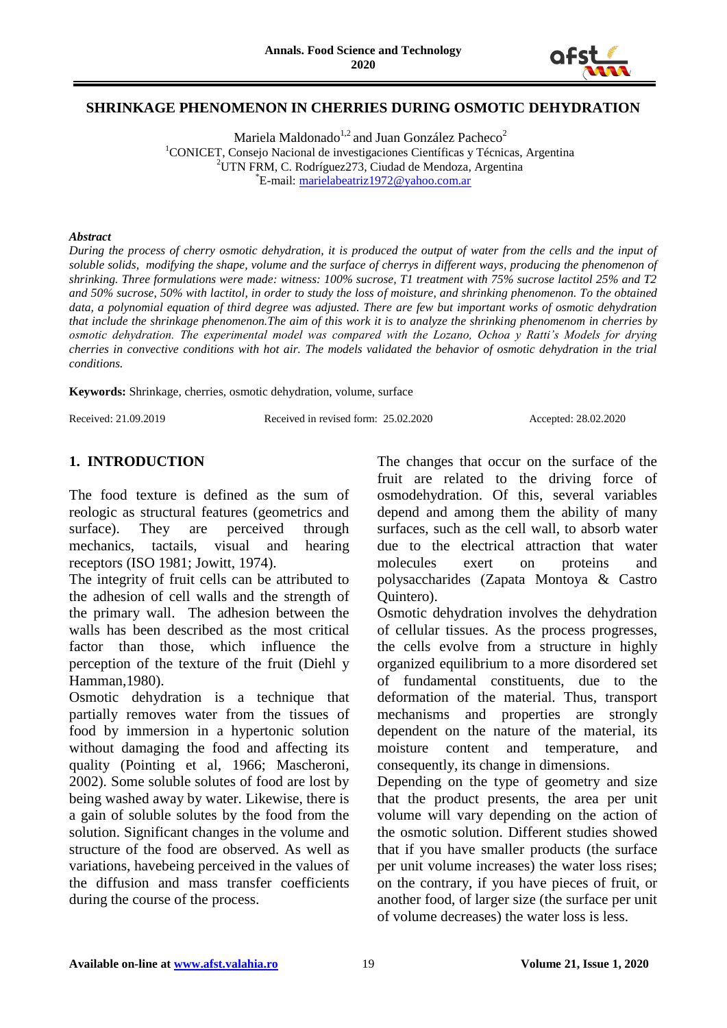

### **SHRINKAGE PHENOMENON IN CHERRIES DURING OSMOTIC DEHYDRATION**

Mariela Maldonado<sup>1,2</sup> and Juan González Pacheco<sup>2</sup> <sup>1</sup>CONICET, Consejo Nacional de investigaciones Científicas y Técnicas, Argentina <sup>2</sup>UTN FRM, C. Rodríguez273, Ciudad de Mendoza, Argentina \*E-mail: [marielabeatriz1972@yahoo.com.ar](mailto:marielabeatriz1972@yahoo.com.ar)

#### *Abstract*

*During the process of cherry osmotic dehydration, it is produced the output of water from the cells and the input of soluble solids, modifying the shape, volume and the surface of cherrys in different ways, producing the phenomenon of shrinking. Three formulations were made: witness: 100% sucrose, T1 treatment with 75% sucrose lactitol 25% and T2 and 50% sucrose, 50% with lactitol, in order to study the loss of moisture, and shrinking phenomenon. To the obtained data, a polynomial equation of third degree was adjusted. There are few but important works of osmotic dehydration that include the shrinkage phenomenon.The aim of this work it is to analyze the shrinking phenomenom in cherries by osmotic dehydration. The experimental model was compared with the Lozano, Ochoa y Ratti's Models for drying cherries in convective conditions with hot air. The models validated the behavior of osmotic dehydration in the trial conditions.*

**Keywords:** Shrinkage, cherries, osmotic dehydration, volume, surface

Received: 21.09.2019 Received in revised form: 25.02.2020 Accepted: 28.02.2020

## **1. INTRODUCTION**

The food texture is defined as the sum of reologic as structural features (geometrics and surface). They are perceived through mechanics, tactails, visual and hearing receptors (ISO 1981; Jowitt, 1974).

The integrity of fruit cells can be attributed to the adhesion of cell walls and the strength of the primary wall. The adhesion between the walls has been described as the most critical factor than those, which influence the perception of the texture of the fruit (Diehl y Hamman,1980).

Osmotic dehydration is a technique that partially removes water from the tissues of food by immersion in a hypertonic solution without damaging the food and affecting its quality (Pointing et al, 1966; Mascheroni, 2002). Some soluble solutes of food are lost by being washed away by water. Likewise, there is a gain of soluble solutes by the food from the solution. Significant changes in the volume and structure of the food are observed. As well as variations, havebeing perceived in the values of the diffusion and mass transfer coefficients during the course of the process.

The changes that occur on the surface of the fruit are related to the driving force of osmodehydration. Of this, several variables depend and among them the ability of many surfaces, such as the cell wall, to absorb water due to the electrical attraction that water molecules exert on proteins and polysaccharides (Zapata Montoya & Castro Quintero).

Osmotic dehydration involves the dehydration of cellular tissues. As the process progresses, the cells evolve from a structure in highly organized equilibrium to a more disordered set of fundamental constituents, due to the deformation of the material. Thus, transport mechanisms and properties are strongly dependent on the nature of the material, its moisture content and temperature, and consequently, its change in dimensions.

Depending on the type of geometry and size that the product presents, the area per unit volume will vary depending on the action of the osmotic solution. Different studies showed that if you have smaller products (the surface per unit volume increases) the water loss rises; on the contrary, if you have pieces of fruit, or another food, of larger size (the surface per unit of volume decreases) the water loss is less.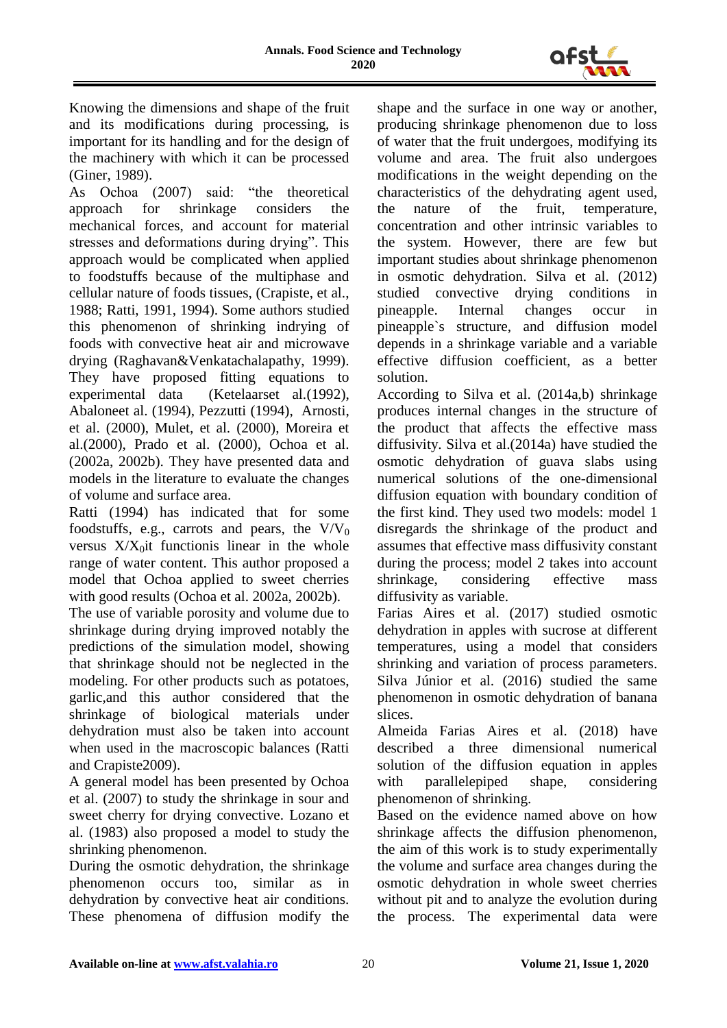

Knowing the dimensions and shape of the fruit and its modifications during processing, is important for its handling and for the design of the machinery with which it can be processed (Giner, 1989).

As Ochoa (2007) said: "the theoretical approach for shrinkage considers the mechanical forces, and account for material stresses and deformations during drying". This approach would be complicated when applied to foodstuffs because of the multiphase and cellular nature of foods tissues, (Crapiste, et al., 1988; Ratti, 1991, 1994). Some authors studied this phenomenon of shrinking indrying of foods with convective heat air and microwave drying (Raghavan&Venkatachalapathy, 1999). They have proposed fitting equations to experimental data (Ketelaarset al.(1992), Abaloneet al. (1994), Pezzutti (1994), Arnosti, et al. (2000), Mulet, et al. (2000), Moreira et al.(2000), Prado et al. (2000), Ochoa et al. (2002a, 2002b). They have presented data and models in the literature to evaluate the changes of volume and surface area.

Ratti (1994) has indicated that for some foodstuffs, e.g., carrots and pears, the  $V/V_0$ versus  $X/X<sub>0</sub>$ it functionis linear in the whole range of water content. This author proposed a model that Ochoa applied to sweet cherries with good results (Ochoa et al. 2002a, 2002b).

The use of variable porosity and volume due to shrinkage during drying improved notably the predictions of the simulation model, showing that shrinkage should not be neglected in the modeling. For other products such as potatoes, garlic,and this author considered that the shrinkage of biological materials under dehydration must also be taken into account when used in the macroscopic balances (Ratti and Crapiste2009).

A general model has been presented by Ochoa et al. (2007) to study the shrinkage in sour and sweet cherry for drying convective. Lozano et al. (1983) also proposed a model to study the shrinking phenomenon.

During the osmotic dehydration, the shrinkage phenomenon occurs too, similar as in dehydration by convective heat air conditions. These phenomena of diffusion modify the

shape and the surface in one way or another, producing shrinkage phenomenon due to loss of water that the fruit undergoes, modifying its volume and area. The fruit also undergoes modifications in the weight depending on the characteristics of the dehydrating agent used, the nature of the fruit, temperature, concentration and other intrinsic variables to the system. However, there are few but important studies about shrinkage phenomenon in osmotic dehydration. Silva et al. (2012) studied convective drying conditions in pineapple. Internal changes occur in pineapple`s structure, and diffusion model depends in a shrinkage variable and a variable effective diffusion coefficient, as a better solution.

According to Silva et al. (2014a,b) shrinkage produces internal changes in the structure of the product that affects the effective mass diffusivity. Silva et al.(2014a) have studied the osmotic dehydration of guava slabs using numerical solutions of the one-dimensional diffusion equation with boundary condition of the first kind. They used two models: model 1 disregards the shrinkage of the product and assumes that effective mass diffusivity constant during the process; model 2 takes into account shrinkage, considering effective mass diffusivity as variable.

Farias Aires et al. (2017) studied osmotic dehydration in apples with sucrose at different temperatures, using a model that considers shrinking and variation of process parameters. Silva Júnior et al. (2016) studied the same phenomenon in osmotic dehydration of banana slices.

Almeida Farias Aires et al. (2018) have described a three dimensional numerical solution of the diffusion equation in apples with parallelepiped shape, considering phenomenon of shrinking.

Based on the evidence named above on how shrinkage affects the diffusion phenomenon, the aim of this work is to study experimentally the volume and surface area changes during the osmotic dehydration in whole sweet cherries without pit and to analyze the evolution during the process. The experimental data were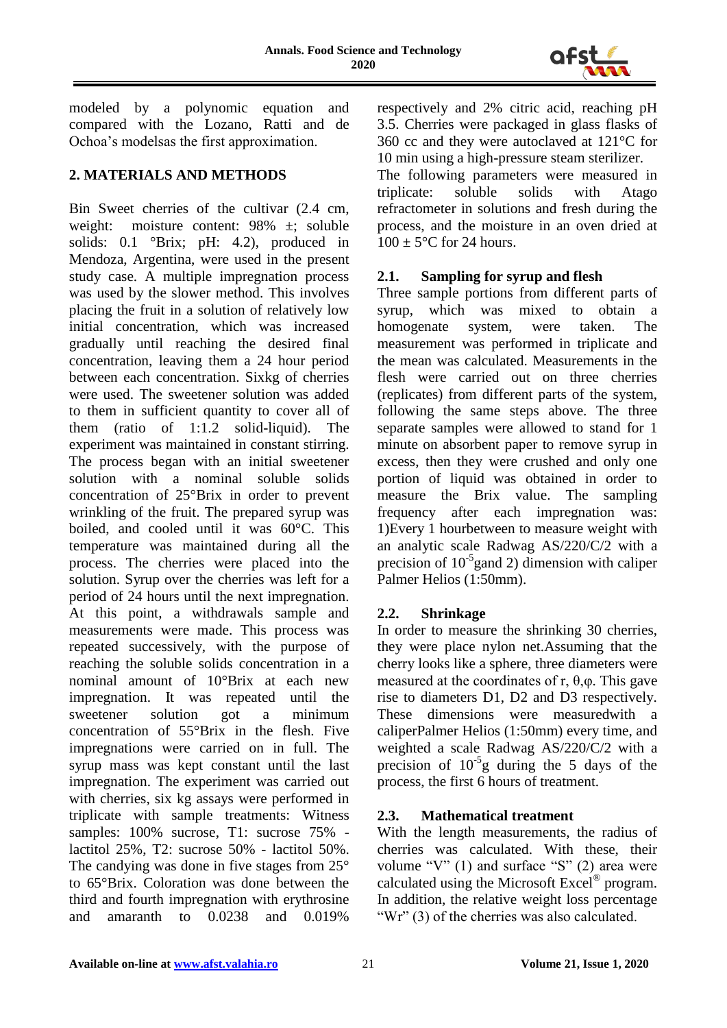

modeled by a polynomic equation and compared with the Lozano, Ratti and de Ochoa"s modelsas the first approximation.

# **2. MATERIALS AND METHODS**

Bin Sweet cherries of the cultivar (2.4 cm, weight: moisture content: 98% ±; soluble solids: 0.1 °Brix; pH: 4.2), produced in Mendoza, Argentina, were used in the present study case. A multiple impregnation process was used by the slower method. This involves placing the fruit in a solution of relatively low initial concentration, which was increased gradually until reaching the desired final concentration, leaving them a 24 hour period between each concentration. Sixkg of cherries were used. The sweetener solution was added to them in sufficient quantity to cover all of them (ratio of 1:1.2 solid-liquid). The experiment was maintained in constant stirring. The process began with an initial sweetener solution with a nominal soluble solids concentration of 25°Brix in order to prevent wrinkling of the fruit. The prepared syrup was boiled, and cooled until it was 60°C. This temperature was maintained during all the process. The cherries were placed into the solution. Syrup over the cherries was left for a period of 24 hours until the next impregnation. At this point, a withdrawals sample and measurements were made. This process was repeated successively, with the purpose of reaching the soluble solids concentration in a nominal amount of 10°Brix at each new impregnation. It was repeated until the sweetener solution got a minimum concentration of 55°Brix in the flesh. Five impregnations were carried on in full. The syrup mass was kept constant until the last impregnation. The experiment was carried out with cherries, six kg assays were performed in triplicate with sample treatments: Witness samples: 100% sucrose, T1: sucrose 75% lactitol 25%, T2: sucrose 50% - lactitol 50%. The candying was done in five stages from 25° to 65°Brix. Coloration was done between the third and fourth impregnation with erythrosine and amaranth to 0.0238 and 0.019%

respectively and 2% citric acid, reaching pH 3.5. Cherries were packaged in glass flasks of 360 cc and they were autoclaved at 121°C for 10 min using a high-pressure steam sterilizer.

The following parameters were measured in triplicate: soluble solids with Atago refractometer in solutions and fresh during the process, and the moisture in an oven dried at  $100 \pm 5^{\circ}$ C for 24 hours.

## **2.1. Sampling for syrup and flesh**

Three sample portions from different parts of syrup, which was mixed to obtain a homogenate system, were taken. The measurement was performed in triplicate and the mean was calculated. Measurements in the flesh were carried out on three cherries (replicates) from different parts of the system, following the same steps above. The three separate samples were allowed to stand for 1 minute on absorbent paper to remove syrup in excess, then they were crushed and only one portion of liquid was obtained in order to measure the Brix value. The sampling frequency after each impregnation was: 1)Every 1 hourbetween to measure weight with an analytic scale Radwag AS/220/C/2 with a precision of  $10^{-5}$ gand 2) dimension with caliper Palmer Helios (1:50mm).

# **2.2. Shrinkage**

In order to measure the shrinking 30 cherries, they were place nylon net.Assuming that the cherry looks like a sphere, three diameters were measured at the coordinates of r,  $\theta$ , $\varphi$ . This gave rise to diameters D1, D2 and D3 respectively. These dimensions were measuredwith a caliperPalmer Helios (1:50mm) every time, and weighted a scale Radwag AS/220/C/2 with a precision of  $10^{-5}$ g during the 5 days of the process, the first 6 hours of treatment.

## **2.3. Mathematical treatment**

With the length measurements, the radius of cherries was calculated. With these, their volume "V" (1) and surface "S" (2) area were calculated using the Microsoft Excel<sup>®</sup> program. In addition, the relative weight loss percentage "Wr" (3) of the cherries was also calculated.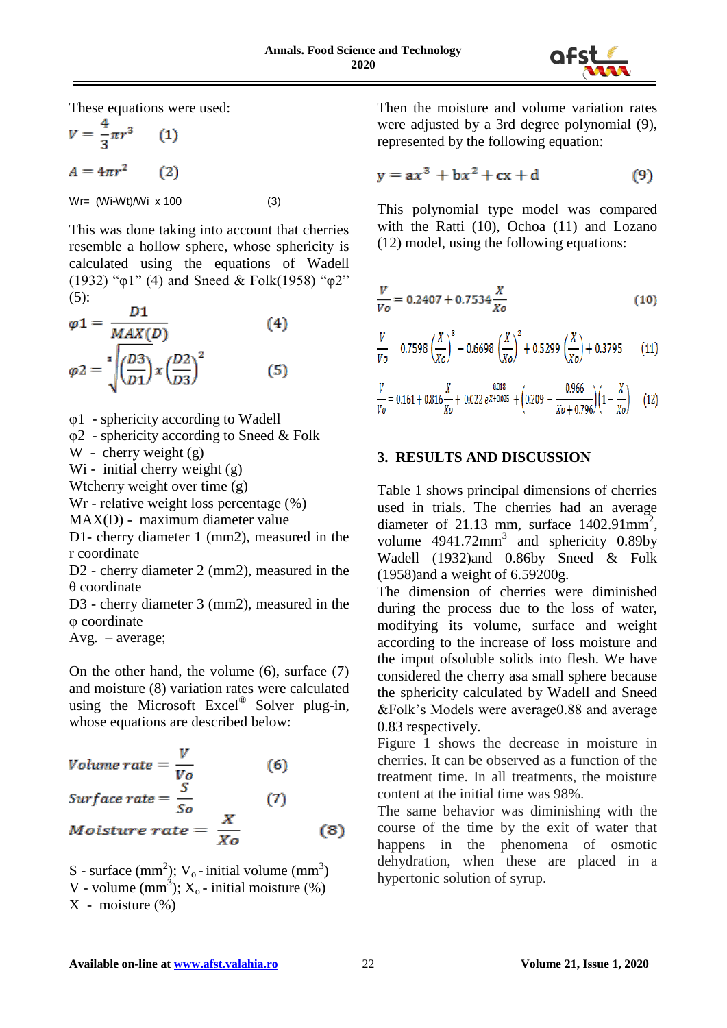

These equations were used:

$$
V = \frac{4}{3}\pi r^{3}
$$
 (1)  

$$
A = 4\pi r^{2}
$$
 (2)  

$$
Wr = (Wi-Wt)/Wi \times 100
$$
 (3)

This was done taking into account that cherries resemble a hollow sphere, whose sphericity is calculated using the equations of Wadell (1932) "φ1" (4) and Sneed & Folk(1958) "φ2"  $(5)$ :

$$
\varphi 1 = \frac{D1}{MAX(D)} \tag{4}
$$
  

$$
\varphi 2 = \sqrt[8]{\left(\frac{D3}{D1}\right)x \left(\frac{D2}{D3}\right)^2} \tag{5}
$$

φ1 - sphericity according to Wadell

φ2 - sphericity according to Sneed & Folk

W - cherry weight (g)

Wi - initial cherry weight (g)

Wtcherry weight over time (g)

Wr - relative weight loss percentage (%)

MAX(D) - maximum diameter value

D1- cherry diameter 1 (mm2), measured in the r coordinate

D2 - cherry diameter 2 (mm2), measured in the θ coordinate

D3 - cherry diameter 3 (mm2), measured in the φ coordinate

Avg. – average;

On the other hand, the volume (6), surface (7) and moisture (8) variation rates were calculated using the Microsoft Excel<sup>®</sup> Solver plug-in, whose equations are described below:

Volume rate = 
$$
\frac{V}{V_o}
$$
 (6)  
\nSurface rate =  $\frac{S}{S_o}$  (7)  
\nMoisture rate =  $\frac{X}{Xo}$  (8)

S - surface  $(mm<sup>2</sup>)$ ; V<sub>o</sub>-initial volume  $(mm<sup>3</sup>)$ V - volume  $(mm^3)$ ;  $X_0$  - initial moisture  $(\%)$  $X$  - moisture  $(\% )$ 

Then the moisture and volume variation rates were adjusted by a 3rd degree polynomial (9), represented by the following equation:

$$
y = ax^3 + bx^2 + cx + d \tag{9}
$$

This polynomial type model was compared with the Ratti (10), Ochoa (11) and Lozano (12) model, using the following equations:

$$
\frac{V}{V_o} = 0.2407 + 0.7534 \frac{X}{Xo}
$$
 (10)

$$
\frac{V}{V_o} = 0.7598 \left(\frac{X}{X_o}\right)^3 - 0.6698 \left(\frac{X}{X_o}\right)^2 + 0.5299 \left(\frac{X}{X_o}\right) + 0.3795 \tag{11}
$$

$$
\frac{V}{V_0} = 0.161 + 0.816 \frac{X}{X_0} + 0.022 e^{\frac{0.018}{X + 0.025}} + \left(0.209 - \frac{0.966}{X_0 + 0.796}\right)\left(1 - \frac{X}{X_0}\right) \tag{12}
$$

#### **3. RESULTS AND DISCUSSION**

Table 1 shows principal dimensions of cherries used in trials. The cherries had an average diameter of 21.13 mm, surface  $1402.91$ mm<sup>2</sup>, volume  $4941.72$ mm<sup>3</sup> and sphericity 0.89by Wadell (1932)and 0.86by Sneed & Folk (1958)and a weight of 6.59200g.

The dimension of cherries were diminished during the process due to the loss of water, modifying its volume, surface and weight according to the increase of loss moisture and the imput ofsoluble solids into flesh. We have considered the cherry asa small sphere because the sphericity calculated by Wadell and Sneed &Folk"s Models were average0.88 and average 0.83 respectively.

Figure 1 shows the decrease in moisture in cherries. It can be observed as a function of the treatment time. In all treatments, the moisture content at the initial time was 98%.

The same behavior was diminishing with the course of the time by the exit of water that happens in the phenomena of osmotic dehydration, when these are placed in a hypertonic solution of syrup.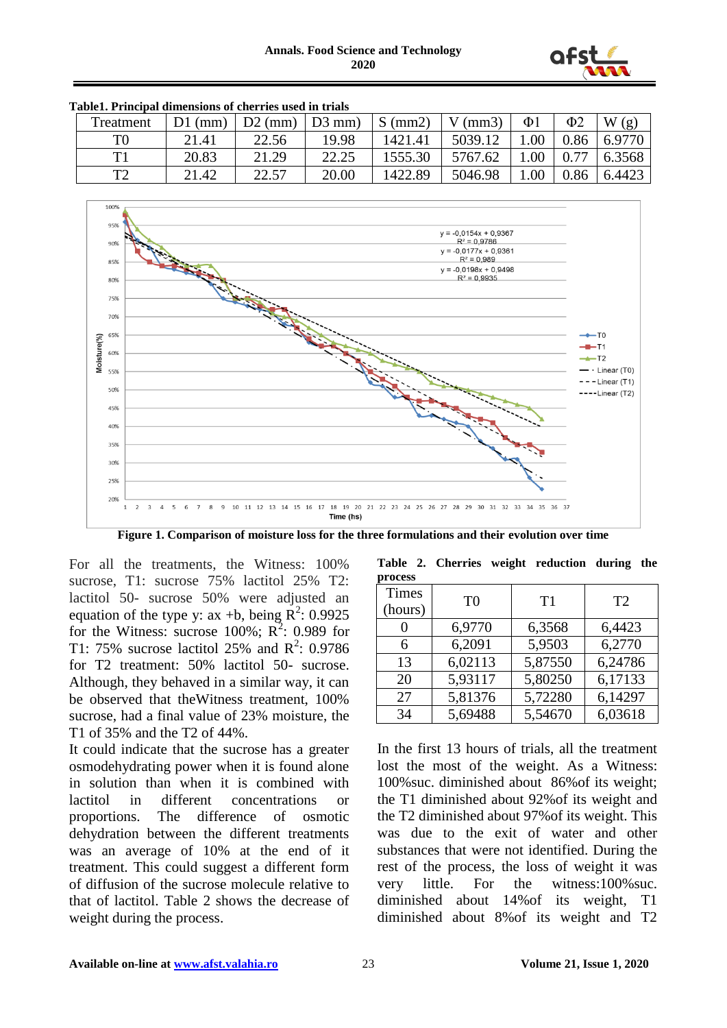

| 1 MMIVII 1 IIINUIDHI MIINUININJID VI VIIVIIIVO MOVM III VIIMID |           |                    |       |           |               |          |                     |        |  |  |
|----------------------------------------------------------------|-----------|--------------------|-------|-----------|---------------|----------|---------------------|--------|--|--|
| Treatment                                                      | $D1$ (mm) | $D2$ (mm) $D3$ mm) |       | $S$ (mm2) | $V$ (mm $3$ ) | $\Phi$ 1 | $\Phi$ <sub>2</sub> | W(g)   |  |  |
| T0                                                             | 21.41     | 22.56              | 19.98 | 1421.41   | 5039.12       | .00      | 0.86                | 6.9770 |  |  |
| T 1                                                            | 20.83     | 21.29              | 22.25 | 1555.30   | 5767.62       | .00      |                     | 6.3568 |  |  |
| ፐገ                                                             | 21.42     | 22.57              | 20.00 | 1422.89   | 5046.98       | .00      | 0.86                | 6.4423 |  |  |

**Table1. Principal dimensions of cherries used in trials**



**Figure 1. Comparison of moisture loss for the three formulations and their evolution over time**

For all the treatments, the Witness: 100% sucrose, T1: sucrose 75% lactitol 25% T2: lactitol 50- sucrose 50% were adjusted an equation of the type y: ax +b, being  $\mathbb{R}^2$ : 0.9925 for the Witness: sucrose 100%;  $R^2$ : 0.989 for T1: 75% sucrose lactitol 25% and  $R^2$ : 0.9786 for T2 treatment: 50% lactitol 50- sucrose. Although, they behaved in a similar way, it can be observed that theWitness treatment, 100% sucrose, had a final value of 23% moisture, the T1 of 35% and the T2 of 44%.

It could indicate that the sucrose has a greater osmodehydrating power when it is found alone in solution than when it is combined with lactitol in different concentrations or proportions. The difference of osmotic dehydration between the different treatments was an average of 10% at the end of it treatment. This could suggest a different form of diffusion of the sucrose molecule relative to that of lactitol. Table 2 shows the decrease of weight during the process.

| process |                |         |  |  |  |  |  |
|---------|----------------|---------|--|--|--|--|--|
|         |                | T2      |  |  |  |  |  |
|         |                |         |  |  |  |  |  |
| 6,9770  | 6,3568         | 6,4423  |  |  |  |  |  |
| 6,2091  | 5,9503         | 6,2770  |  |  |  |  |  |
| 6,02113 | 5,87550        | 6,24786 |  |  |  |  |  |
| 5,93117 | 5,80250        | 6,17133 |  |  |  |  |  |
| 5,81376 | 5,72280        | 6,14297 |  |  |  |  |  |
| 5,69488 | 5,54670        | 6,03618 |  |  |  |  |  |
|         | T <sub>0</sub> | T1      |  |  |  |  |  |

**Table 2. Cherries weight reduction during the** 

In the first 13 hours of trials, all the treatment lost the most of the weight. As a Witness: 100%suc. diminished about 86%of its weight; the T1 diminished about 92%of its weight and the T2 diminished about 97%of its weight. This was due to the exit of water and other substances that were not identified. During the rest of the process, the loss of weight it was very little. For the witness:100%suc. diminished about 14%of its weight, T1 diminished about 8%of its weight and T2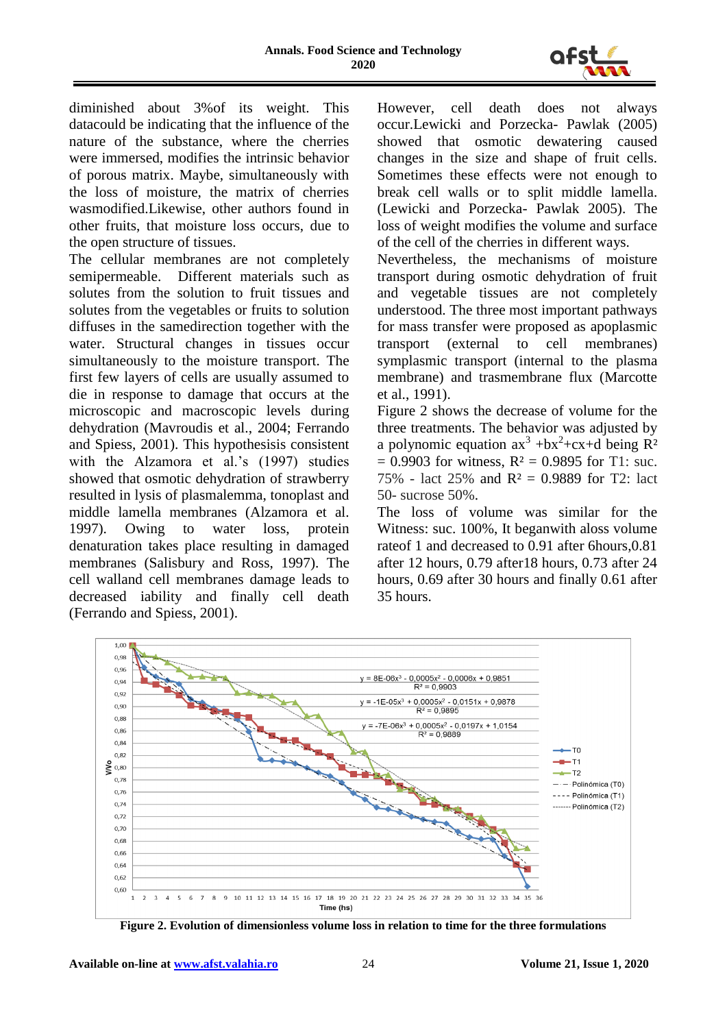

diminished about 3%of its weight. This datacould be indicating that the influence of the nature of the substance, where the cherries were immersed, modifies the intrinsic behavior of porous matrix. Maybe, simultaneously with the loss of moisture, the matrix of cherries wasmodified.Likewise, other authors found in other fruits, that moisture loss occurs, due to the open structure of tissues.

The cellular membranes are not completely semipermeable. Different materials such as solutes from the solution to fruit tissues and solutes from the vegetables or fruits to solution diffuses in the samedirection together with the water. Structural changes in tissues occur simultaneously to the moisture transport. The first few layers of cells are usually assumed to die in response to damage that occurs at the microscopic and macroscopic levels during dehydration (Mavroudis et al., 2004; Ferrando and Spiess, 2001). This hypothesisis consistent with the Alzamora et al.'s (1997) studies showed that osmotic dehydration of strawberry resulted in lysis of plasmalemma, tonoplast and middle lamella membranes (Alzamora et al. 1997). Owing to water loss, protein denaturation takes place resulting in damaged membranes (Salisbury and Ross, 1997). The cell walland cell membranes damage leads to decreased iability and finally cell death (Ferrando and Spiess, 2001).

However, cell death does not always occur.Lewicki and Porzecka- Pawlak (2005) showed that osmotic dewatering caused changes in the size and shape of fruit cells. Sometimes these effects were not enough to break cell walls or to split middle lamella. (Lewicki and Porzecka- Pawlak 2005). The loss of weight modifies the volume and surface of the cell of the cherries in different ways.

Nevertheless, the mechanisms of moisture transport during osmotic dehydration of fruit and vegetable tissues are not completely understood. The three most important pathways for mass transfer were proposed as apoplasmic transport (external to cell membranes) symplasmic transport (internal to the plasma membrane) and trasmembrane flux (Marcotte et al., 1991).

Figure 2 shows the decrease of volume for the three treatments. The behavior was adjusted by a polynomic equation  $ax^3 + bx^2 + cx + d$  being  $R^2$  $= 0.9903$  for witness,  $R^2 = 0.9895$  for T1: suc. 75% - lact 25% and R² = 0.9889 for T2: lact 50- sucrose 50%.

The loss of volume was similar for the Witness: suc. 100%, It beganwith aloss volume rateof 1 and decreased to 0.91 after 6hours,0.81 after 12 hours, 0.79 after18 hours, 0.73 after 24 hours, 0.69 after 30 hours and finally 0.61 after 35 hours.



**Figure 2. Evolution of dimensionless volume loss in relation to time for the three formulations**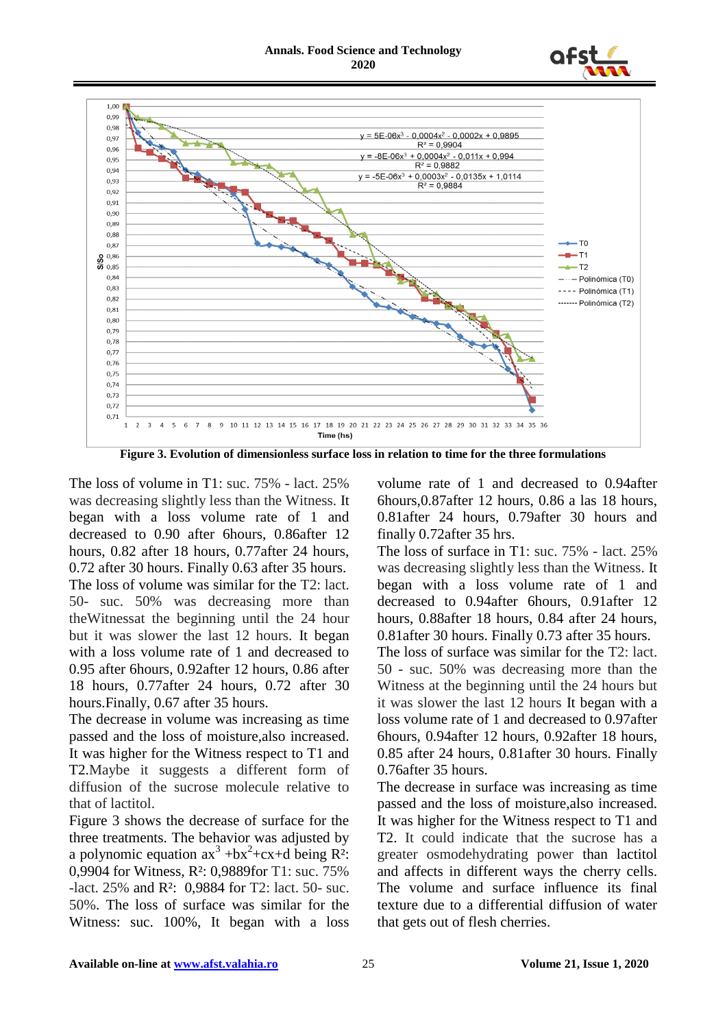



**Figure 3. Evolution of dimensionless surface loss in relation to time for the three formulations**

The loss of volume in T1: suc. 75% - lact. 25% was decreasing slightly less than the Witness. It began with a loss volume rate of 1 and decreased to 0.90 after 6hours, 0.86after 12 hours, 0.82 after 18 hours, 0.77after 24 hours, 0.72 after 30 hours. Finally 0.63 after 35 hours. The loss of volume was similar for the T2: lact. 50- suc. 50% was decreasing more than theWitnessat the beginning until the 24 hour but it was slower the last 12 hours. It began with a loss volume rate of 1 and decreased to 0.95 after 6hours, 0.92after 12 hours, 0.86 after 18 hours, 0.77after 24 hours, 0.72 after 30 hours.Finally, 0.67 after 35 hours.

The decrease in volume was increasing as time passed and the loss of moisture,also increased. It was higher for the Witness respect to T1 and T2.Maybe it suggests a different form of diffusion of the sucrose molecule relative to that of lactitol.

Figure 3 shows the decrease of surface for the three treatments. The behavior was adjusted by a polynomic equation  $ax^3 + bx^2 + cx + d$  being  $R^2$ : 0,9904 for Witness, R²: 0,9889for T1: suc. 75% -lact. 25% and R²: 0,9884 for T2: lact. 50- suc. 50%. The loss of surface was similar for the Witness: suc. 100%, It began with a loss

volume rate of 1 and decreased to 0.94after 6hours,0.87after 12 hours, 0.86 a las 18 hours, 0.81after 24 hours, 0.79after 30 hours and finally 0.72after 35 hrs.

The loss of surface in T1: suc. 75% - lact. 25% was decreasing slightly less than the Witness. It began with a loss volume rate of 1 and decreased to 0.94after 6hours, 0.91after 12 hours, 0.88after 18 hours, 0.84 after 24 hours, 0.81after 30 hours. Finally 0.73 after 35 hours.

The loss of surface was similar for the T2: lact. 50 - suc. 50% was decreasing more than the Witness at the beginning until the 24 hours but it was slower the last 12 hours It began with a loss volume rate of 1 and decreased to 0.97after 6hours, 0.94after 12 hours, 0.92after 18 hours, 0.85 after 24 hours, 0.81after 30 hours. Finally 0.76after 35 hours.

The decrease in surface was increasing as time passed and the loss of moisture,also increased. It was higher for the Witness respect to T1 and T2. It could indicate that the sucrose has a greater osmodehydrating power than lactitol and affects in different ways the cherry cells. The volume and surface influence its final texture due to a differential diffusion of water that gets out of flesh cherries.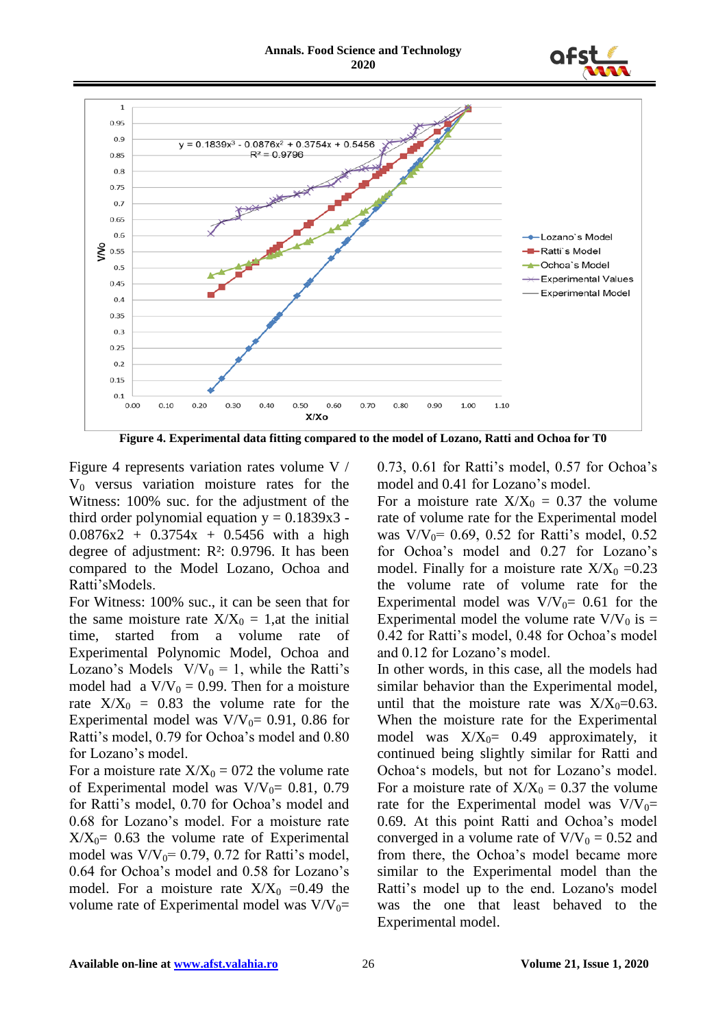#### **Annals. Food Science and Technology 2020**





**Figure 4. Experimental data fitting compared to the model of Lozano, Ratti and Ochoa for T0**

Figure 4 represents variation rates volume V /  $V_0$  versus variation moisture rates for the Witness: 100% suc. for the adjustment of the third order polynomial equation  $y = 0.1839x3$ .  $0.0876x^2 + 0.3754x + 0.5456$  with a high degree of adjustment: R²: 0.9796. It has been compared to the Model Lozano, Ochoa and Ratti"sModels.

For Witness: 100% suc., it can be seen that for the same moisture rate  $X/X_0 = 1$ , at the initial time, started from a volume rate of Experimental Polynomic Model, Ochoa and Lozano's Models  $V/V_0 = 1$ , while the Ratti's model had a  $V/V_0 = 0.99$ . Then for a moisture rate  $X/X_0 = 0.83$  the volume rate for the Experimental model was  $V/V_0= 0.91$ , 0.86 for Ratti's model, 0.79 for Ochoa's model and 0.80 for Lozano's model.

For a moisture rate  $X/X_0 = 072$  the volume rate of Experimental model was  $V/V_0$ = 0.81, 0.79 for Ratti"s model, 0.70 for Ochoa"s model and 0.68 for Lozano"s model. For a moisture rate  $X/X_0= 0.63$  the volume rate of Experimental model was  $V/V_0 = 0.79$ , 0.72 for Ratti's model, 0.64 for Ochoa"s model and 0.58 for Lozano"s model. For a moisture rate  $X/X_0 = 0.49$  the volume rate of Experimental model was  $V/V_0=$  0.73, 0.61 for Ratti"s model, 0.57 for Ochoa"s model and  $0.41$  for Lozano's model.

For a moisture rate  $X/X_0 = 0.37$  the volume rate of volume rate for the Experimental model was  $V/V_0$ = 0.69, 0.52 for Ratti's model, 0.52 for Ochoa's model and 0.27 for Lozano's model. Finally for a moisture rate  $X/X_0 = 0.23$ the volume rate of volume rate for the Experimental model was  $V/V_0$ = 0.61 for the Experimental model the volume rate  $V/V_0$  is = 0.42 for Ratti"s model, 0.48 for Ochoa"s model and 0.12 for Lozano"s model.

In other words, in this case, all the models had similar behavior than the Experimental model, until that the moisture rate was  $X/X_0=0.63$ . When the moisture rate for the Experimental model was  $X/X_0= 0.49$  approximately, it continued being slightly similar for Ratti and Ochoa"s models, but not for Lozano"s model. For a moisture rate of  $X/X_0 = 0.37$  the volume rate for the Experimental model was  $V/V_0=$ 0.69. At this point Ratti and Ochoa"s model converged in a volume rate of  $V/V_0 = 0.52$  and from there, the Ochoa's model became more similar to the Experimental model than the Ratti's model up to the end. Lozano's model was the one that least behaved to the Experimental model.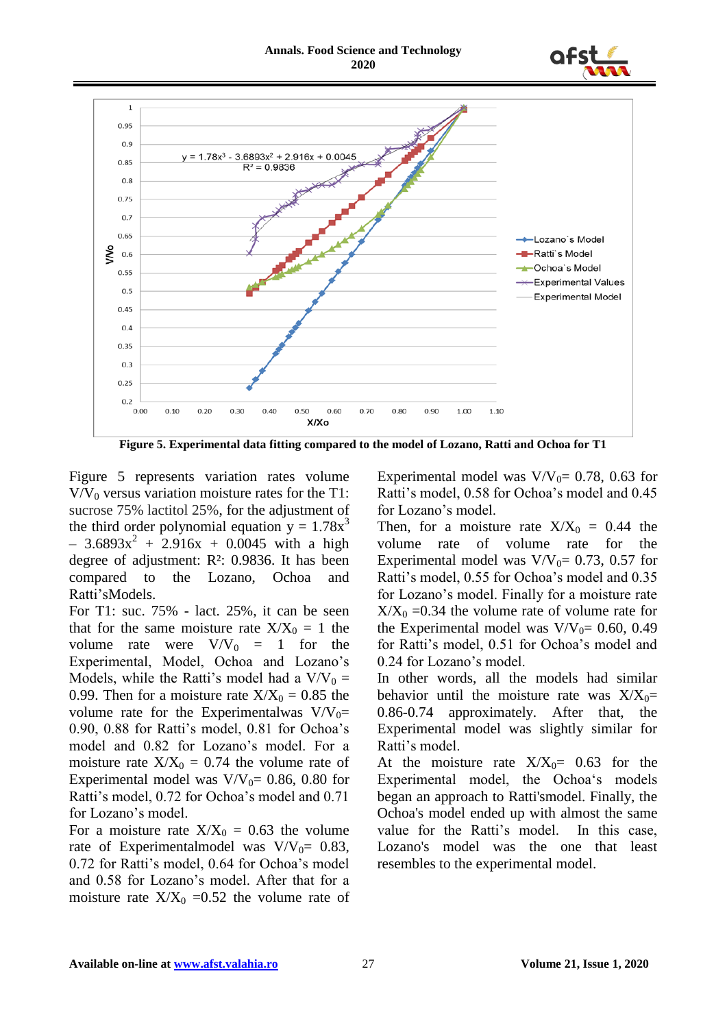



**Figure 5. Experimental data fitting compared to the model of Lozano, Ratti and Ochoa for T1**

Figure 5 represents variation rates volume  $V/V_0$  versus variation moisture rates for the T1: sucrose 75% lactitol 25%, for the adjustment of the third order polynomial equation  $y = 1.78x^3$  $-3.6893x^{2} + 2.916x + 0.0045$  with a high degree of adjustment: R²: 0.9836. It has been compared to the Lozano, Ochoa and Ratti"sModels.

For T1: suc. 75% - lact. 25%, it can be seen that for the same moisture rate  $X/X_0 = 1$  the volume rate were  $V/V_0 = 1$  for the Experimental, Model, Ochoa and Lozano"s Models, while the Ratti's model had a  $V/V_0 =$ 0.99. Then for a moisture rate  $X/X_0 = 0.85$  the volume rate for the Experimentalwas  $V/V_0=$ 0.90, 0.88 for Ratti"s model, 0.81 for Ochoa"s model and 0.82 for Lozano"s model. For a moisture rate  $X/X_0 = 0.74$  the volume rate of Experimental model was  $V/V_0= 0.86, 0.80$  for Ratti's model, 0.72 for Ochoa's model and 0.71 for Lozano's model.

For a moisture rate  $X/X_0 = 0.63$  the volume rate of Experimentalmodel was  $V/V_0$ = 0.83, 0.72 for Ratti"s model, 0.64 for Ochoa"s model and 0.58 for Lozano"s model. After that for a moisture rate  $X/X_0 = 0.52$  the volume rate of Experimental model was  $V/V_0= 0.78$ , 0.63 for Ratti's model, 0.58 for Ochoa's model and 0.45 for Lozano's model.

Then, for a moisture rate  $X/X_0 = 0.44$  the volume rate of volume rate for the Experimental model was  $V/V_0$ = 0.73, 0.57 for Ratti's model, 0.55 for Ochoa's model and 0.35 for Lozano"s model. Finally for a moisture rate  $X/X_0 = 0.34$  the volume rate of volume rate for the Experimental model was  $V/V_0= 0.60, 0.49$ for Ratti"s model, 0.51 for Ochoa"s model and 0.24 for Lozano"s model.

In other words, all the models had similar behavior until the moisture rate was  $X/X_0=$ 0.86-0.74 approximately. After that, the Experimental model was slightly similar for Ratti's model.

At the moisture rate  $X/X_0=$  0.63 for the Experimental model, the Ochoa's models began an approach to Ratti'smodel. Finally, the Ochoa's model ended up with almost the same value for the Ratti"s model. In this case, Lozano's model was the one that least resembles to the experimental model.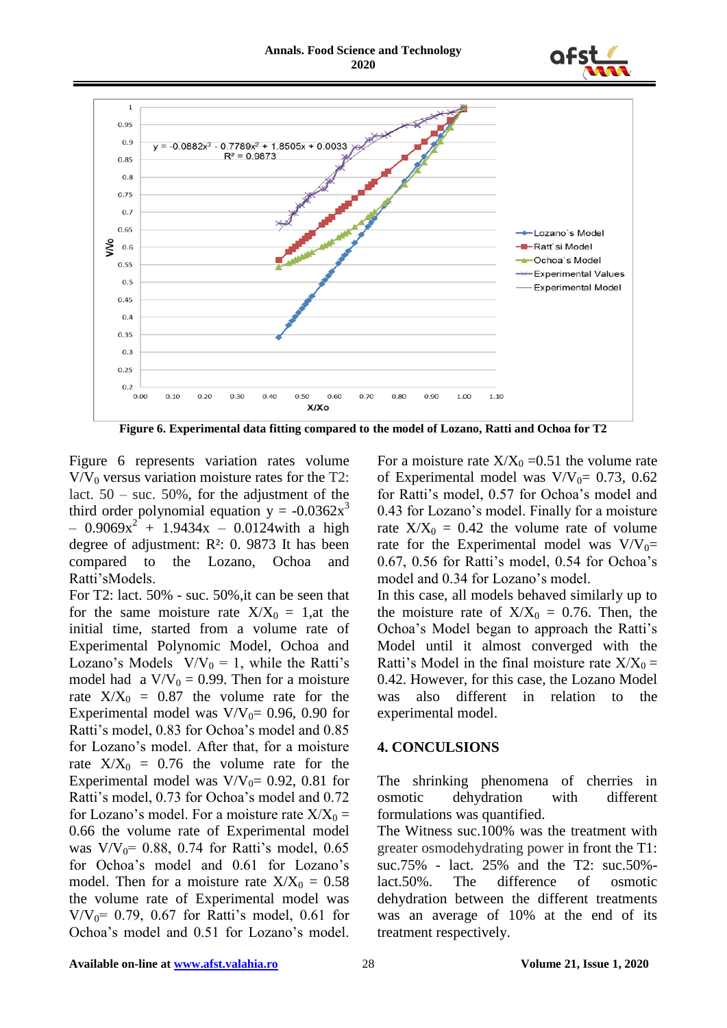



**Figure 6. Experimental data fitting compared to the model of Lozano, Ratti and Ochoa for T2**

Figure 6 represents variation rates volume  $V/V_0$  versus variation moisture rates for the T2: lact.  $50 - \text{suc. } 50\%$ , for the adjustment of the third order polynomial equation  $y = -0.0362x^3$  $-0.9069x^{2} + 1.9434x - 0.0124$  with a high degree of adjustment: R²: 0. 9873 It has been compared to the Lozano, Ochoa and Ratti"sModels.

For T2: lact. 50% - suc. 50%,it can be seen that for the same moisture rate  $X/X_0 = 1$ , at the initial time, started from a volume rate of Experimental Polynomic Model, Ochoa and Lozano's Models  $V/V_0 = 1$ , while the Ratti's model had a  $V/V_0 = 0.99$ . Then for a moisture rate  $X/X_0 = 0.87$  the volume rate for the Experimental model was  $V/V_0= 0.96, 0.90$  for Ratti's model, 0.83 for Ochoa's model and 0.85 for Lozano"s model. After that, for a moisture rate  $X/X_0 = 0.76$  the volume rate for the Experimental model was  $V/V_0= 0.92$ , 0.81 for Ratti"s model, 0.73 for Ochoa"s model and 0.72 for Lozano's model. For a moisture rate  $X/X_0 =$ 0.66 the volume rate of Experimental model was  $V/V_0$ = 0.88, 0.74 for Ratti's model, 0.65 for Ochoa's model and 0.61 for Lozano's model. Then for a moisture rate  $X/X_0 = 0.58$ the volume rate of Experimental model was  $V/V_0$ = 0.79, 0.67 for Ratti's model, 0.61 for Ochoa"s model and 0.51 for Lozano"s model.

For a moisture rate  $X/X_0 = 0.51$  the volume rate of Experimental model was  $V/V_0$ = 0.73, 0.62 for Ratti's model, 0.57 for Ochoa's model and 0.43 for Lozano"s model. Finally for a moisture rate  $X/X_0 = 0.42$  the volume rate of volume rate for the Experimental model was  $V/V_0=$ 0.67, 0.56 for Ratti"s model, 0.54 for Ochoa"s model and 0.34 for Lozano's model.

In this case, all models behaved similarly up to the moisture rate of  $X/X_0 = 0.76$ . Then, the Ochoa"s Model began to approach the Ratti"s Model until it almost converged with the Ratti's Model in the final moisture rate  $X/X_0 =$ 0.42. However, for this case, the Lozano Model was also different in relation to the experimental model.

### **4. CONCULSIONS**

The shrinking phenomena of cherries in osmotic dehydration with different formulations was quantified.

The Witness suc.100% was the treatment with greater osmodehydrating power in front the T1: suc.75% - lact. 25% and the T2: suc.50% lact.50%. The difference of osmotic dehydration between the different treatments was an average of 10% at the end of its treatment respectively.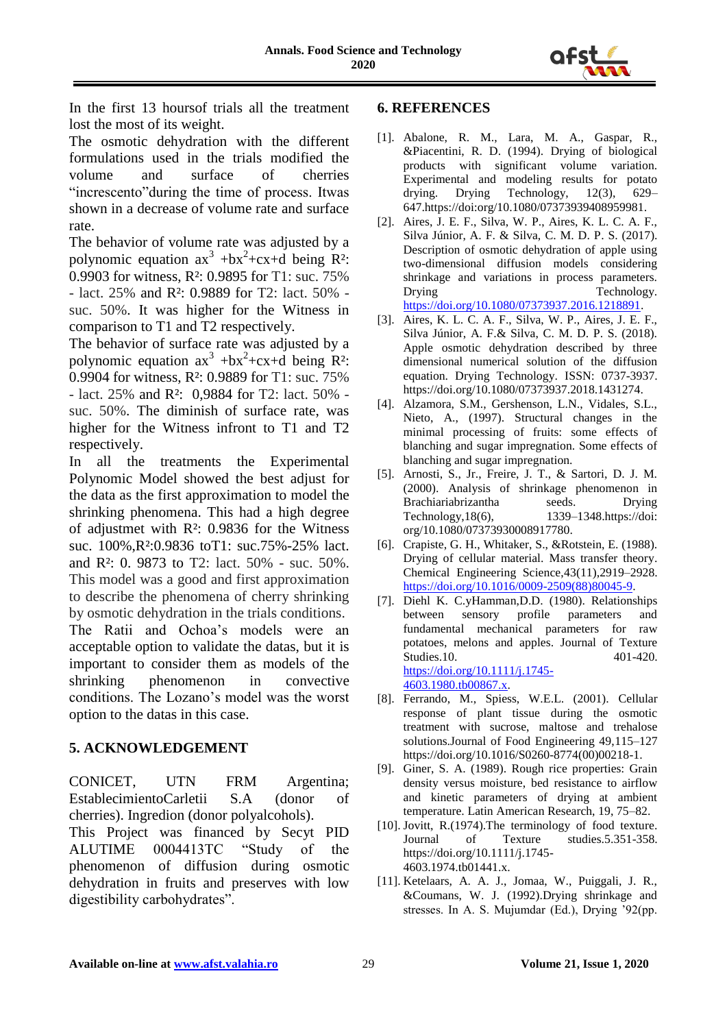

In the first 13 hoursof trials all the treatment lost the most of its weight.

The osmotic dehydration with the different formulations used in the trials modified the volume and surface of cherries "increscento"during the time of process. Itwas shown in a decrease of volume rate and surface rate.

The behavior of volume rate was adjusted by a polynomic equation  $ax^3 + bx^2 + cx + d$  being R<sup>2</sup>: 0.9903 for witness, R²: 0.9895 for T1: suc. 75% - lact. 25% and R²: 0.9889 for T2: lact. 50% suc. 50%. It was higher for the Witness in comparison to T1 and T2 respectively.

The behavior of surface rate was adjusted by a polynomic equation  $ax^3 + bx^2 + cx + d$  being  $R^2$ : 0.9904 for witness, R²: 0.9889 for T1: suc. 75% - lact. 25% and R²: 0,9884 for T2: lact. 50% suc. 50%. The diminish of surface rate, was higher for the Witness infront to T1 and T2 respectively.

In all the treatments the Experimental Polynomic Model showed the best adjust for the data as the first approximation to model the shrinking phenomena. This had a high degree of adjustmet with R²: 0.9836 for the Witness suc. 100%,R²:0.9836 toT1: suc.75%-25% lact. and R²: 0. 9873 to T2: lact. 50% - suc. 50%. This model was a good and first approximation to describe the phenomena of cherry shrinking by osmotic dehydration in the trials conditions. The Ratii and Ochoa"s models were an acceptable option to validate the datas, but it is important to consider them as models of the shrinking phenomenon in convective conditions. The Lozano"s model was the worst option to the datas in this case.

## **5. ACKNOWLEDGEMENT**

CONICET, UTN FRM Argentina; EstablecimientoCarletii S.A (donor of cherries). Ingredion (donor polyalcohols).

This Project was financed by Secyt PID ALUTIME 0004413TC "Study of the phenomenon of diffusion during osmotic dehydration in fruits and preserves with low digestibility carbohydrates".

#### **6. REFERENCES**

- [1]. Abalone, R. M., Lara, M. A., Gaspar, R., &Piacentini, R. D. (1994). Drying of biological products with significant volume variation. Experimental and modeling results for potato drying. Drying Technology, 12(3), 629– drying. Drying Technology, 12(3), 629– 647.https://doi:org/10.1080/07373939408959981.
- [2]. Aires, J. E. F., Silva, W. P., Aires, K. L. C. A. F., Silva Júnior, A. F. & Silva, C. M. D. P. S. (2017). Description of osmotic dehydration of apple using two-dimensional diffusion models considering shrinkage and variations in process parameters. Drying Technology. [https://doi.org/10.1080/07373937.2016.1218891.](https://doi.org/10.1080/07373937.2016.1218891)
- [3]. Aires, K. L. C. A. F., Silva, W. P., Aires, J. E. F., Silva Júnior, A. F.& Silva, C. M. D. P. S. (2018). Apple osmotic dehydration described by three dimensional numerical solution of the diffusion equation. Drying Technology. ISSN: 0737-3937. https://doi.org/10.1080/07373937.2018.1431274.
- [4]. Alzamora, S.M., Gershenson, L.N., Vidales, S.L., Nieto, A., (1997). Structural changes in the minimal processing of fruits: some effects of blanching and sugar impregnation. Some effects of blanching and sugar impregnation.
- [5]. Arnosti, S., Jr., Freire, J. T., & Sartori, D. J. M. (2000). Analysis of shrinkage phenomenon in Brachiariabrizantha seeds. Drying Technology,18(6), 1339–1348.https://doi: org/10.1080/07373930008917780.
- [6]. Crapiste, G. H., Whitaker, S., &Rotstein, E. (1988). Drying of cellular material. Mass transfer theory. Chemical Engineering Science,43(11),2919–2928. [https://doi.org/10.1016/0009-2509\(88\)80045-9.](https://doi.org/10.1016/0009-2509(88)80045-9)
- [7]. Diehl K. C.yHamman,D.D. (1980). Relationships between sensory profile parameters and fundamental mechanical parameters for raw potatoes, melons and apples. Journal of Texture Studies.10. 401-420. [https://doi.org/10.1111/j.1745-](https://doi.org/10.1111/j.1745-4603.1980.tb00867.x) [4603.1980.tb00867.x.](https://doi.org/10.1111/j.1745-4603.1980.tb00867.x)
- [8]. Ferrando, M., Spiess, W.E.L. (2001). Cellular response of plant tissue during the osmotic treatment with sucrose, maltose and trehalose solutions.Journal of Food Engineering 49,115–127 https://doi.org/10.1016/S0260-8774(00)00218-1.
- [9]. Giner, S. A. (1989). Rough rice properties: Grain density versus moisture, bed resistance to airflow and kinetic parameters of drying at ambient temperature. Latin American Research, 19, 75–82.
- [10]. Jovitt, R.(1974). The terminology of food texture. Journal of Texture studies.5.351-358. https://doi.org/10.1111/j.1745- 4603.1974.tb01441.x.
- [11]. Ketelaars, A. A. J., Jomaa, W., Puiggali, J. R., &Coumans, W. J. (1992).Drying shrinkage and stresses. In A. S. Mujumdar (Ed.), Drying "92(pp.